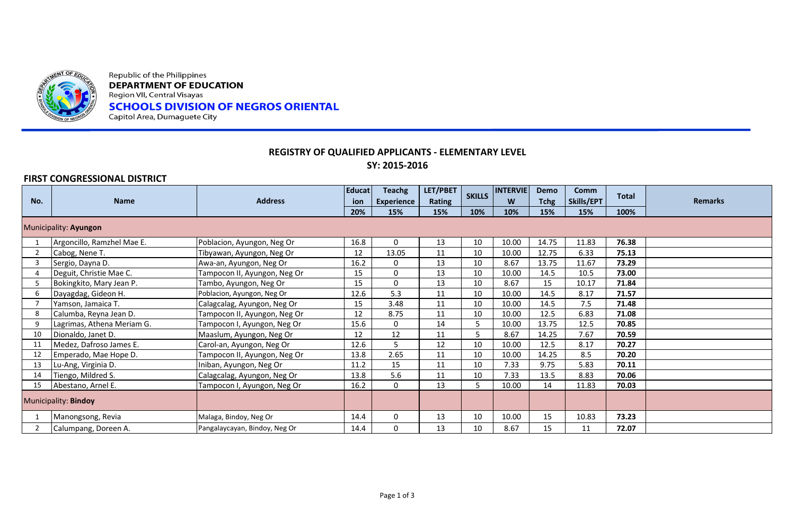

Republic of the Philippines **DEPARTMENT OF EDUCATION** Region VII, Central Visayas **SCHOOLS DIVISION OF NEGROS ORIENTAL** Capitol Area, Dumaguete City

## **REGISTRY OF QUALIFIED APPLICANTS - ELEMENTARY LEVEL SY: 2015-2016**

## **FIRST CONGRESSIONAL DISTRICT**

|     | <b>Name</b>                | <b>Address</b>                | <b>Educat</b> | <b>Teachg</b>     | LET/PBET      | <b>SKILLS</b> | <b>INTERVIE</b> | Demo        | <b>Comm</b><br>Skills/EPT | <b>Total</b> |                |
|-----|----------------------------|-------------------------------|---------------|-------------------|---------------|---------------|-----------------|-------------|---------------------------|--------------|----------------|
| No. |                            |                               | ion           | <b>Experience</b> | <b>Rating</b> |               | W               | <b>Tchg</b> |                           |              | <b>Remarks</b> |
|     |                            |                               | 20%           | 15%               | 15%           | 10%           | 10%             | 15%         | 15%                       | 100%         |                |
|     | Municipality: Ayungon      |                               |               |                   |               |               |                 |             |                           |              |                |
|     | Argoncillo, Ramzhel Mae E. | Poblacion, Ayungon, Neg Or    | 16.8          | $\Omega$          | 13            | 10            | 10.00           | 14.75       | 11.83                     | 76.38        |                |
|     | Cabog, Nene T.             | Tibyawan, Ayungon, Neg Or     | 12            | 13.05             | 11            | 10            | 10.00           | 12.75       | 6.33                      | 75.13        |                |
|     | Sergio, Dayna D.           | Awa-an, Ayungon, Neg Or       | 16.2          | $\Omega$          | 13            | 10            | 8.67            | 13.75       | 11.67                     | 73.29        |                |
|     | Deguit, Christie Mae C.    | Tampocon II, Ayungon, Neg Or  | 15            | $\mathbf 0$       | 13            | 10            | 10.00           | 14.5        | 10.5                      | 73.00        |                |
|     | Bokingkito, Mary Jean P.   | Tambo, Ayungon, Neg Or        | 15            | $\Omega$          | 13            | 10            | 8.67            | 15          | 10.17                     | 71.84        |                |
| 6   | Dayagdag, Gideon H.        | Poblacion, Ayungon, Neg Or    | 12.6          | 5.3               | 11            | 10            | 10.00           | 14.5        | 8.17                      | 71.57        |                |
|     | Yamson, Jamaica T.         | Calagcalag, Ayungon, Neg Or   | 15            | 3.48              | 11            | 10            | 10.00           | 14.5        | 7.5                       | 71.48        |                |
|     | Calumba, Reyna Jean D.     | Tampocon II, Ayungon, Neg Or  | 12            | 8.75              | 11            | 10            | 10.00           | 12.5        | 6.83                      | 71.08        |                |
| 9   | Lagrimas, Athena Meriam G. | Tampocon I, Ayungon, Neg Or   | 15.6          | $\mathbf 0$       | 14            |               | 10.00           | 13.75       | 12.5                      | 70.85        |                |
| 10  | Dionaldo, Janet D.         | Maaslum, Ayungon, Neg Or      | 12            | 12                | 11            |               | 8.67            | 14.25       | 7.67                      | 70.59        |                |
| 11  | Medez, Dafroso James E.    | Carol-an, Ayungon, Neg Or     | 12.6          | 5                 | 12            | 10            | 10.00           | 12.5        | 8.17                      | 70.27        |                |
| 12  | Emperado, Mae Hope D.      | Tampocon II, Ayungon, Neg Or  | 13.8          | 2.65              | 11            | 10            | 10.00           | 14.25       | 8.5                       | 70.20        |                |
| 13  | Lu-Ang, Virginia D.        | Iniban, Ayungon, Neg Or       | 11.2          | 15                | 11            | 10            | 7.33            | 9.75        | 5.83                      | 70.11        |                |
| 14  | Tiengo, Mildred S.         | Calagcalag, Ayungon, Neg Or   | 13.8          | 5.6               | 11            | 10            | 7.33            | 13.5        | 8.83                      | 70.06        |                |
| 15  | Abestano, Arnel E.         | Tampocon I, Ayungon, Neg Or   | 16.2          | $\Omega$          | 13            |               | 10.00           | 14          | 11.83                     | 70.03        |                |
|     | Municipality: Bindoy       |                               |               |                   |               |               |                 |             |                           |              |                |
|     | Manongsong, Revia          | Malaga, Bindoy, Neg Or        | 14.4          | $\mathbf 0$       | 13            | 10            | 10.00           | 15          | 10.83                     | 73.23        |                |
|     | Calumpang, Doreen A.       | Pangalaycayan, Bindoy, Neg Or | 14.4          | 0                 | 13            | 10            | 8.67            | 15          | 11                        | 72.07        |                |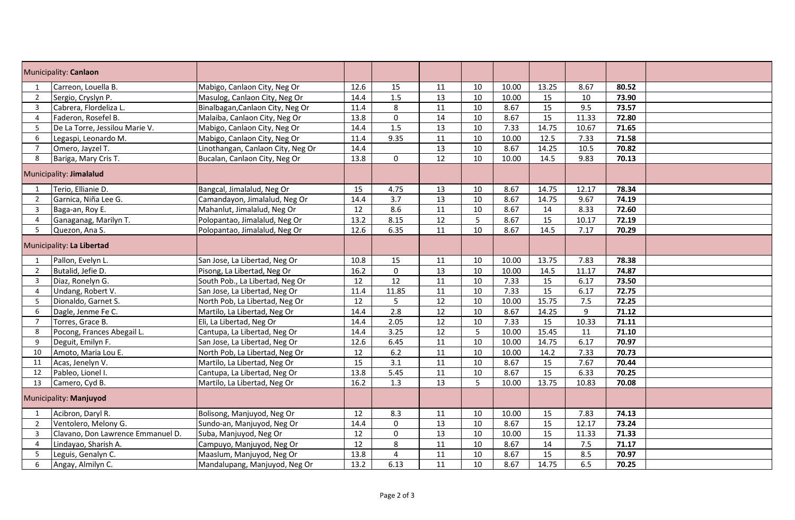| Municipality: Canlaon   |                                   |                                   |      |                |                 |                 |       |       |       |       |  |
|-------------------------|-----------------------------------|-----------------------------------|------|----------------|-----------------|-----------------|-------|-------|-------|-------|--|
| 1                       | Carreon, Louella B.               | Mabigo, Canlaon City, Neg Or      | 12.6 | 15             | 11              | 10              | 10.00 | 13.25 | 8.67  | 80.52 |  |
| $\overline{2}$          | Sergio, Cryslyn P.                | Masulog, Canlaon City, Neg Or     | 14.4 | 1.5            | $\overline{13}$ | 10              | 10.00 | 15    | 10    | 73.90 |  |
| 3                       | Cabrera, Flordeliza L.            | Binalbagan, Canlaon City, Neg Or  | 11.4 | 8              | 11              | 10              | 8.67  | 15    | 9.5   | 73.57 |  |
| $\overline{4}$          | Faderon, Rosefel B.               | Malaiba, Canlaon City, Neg Or     | 13.8 | $\pmb{0}$      | $\overline{14}$ | $\overline{10}$ | 8.67  | 15    | 11.33 | 72.80 |  |
| 5                       | De La Torre, Jessilou Marie V.    | Mabigo, Canlaon City, Neg Or      | 14.4 | 1.5            | 13              | 10              | 7.33  | 14.75 | 10.67 | 71.65 |  |
| 6                       | Legaspi, Leonardo M.              | Mabigo, Canlaon City, Neg Or      | 11.4 | 9.35           | 11              | 10              | 10.00 | 12.5  | 7.33  | 71.58 |  |
| $\overline{7}$          | Omero, Jayzel T.                  | Linothangan, Canlaon City, Neg Or | 14.4 |                | 13              | 10              | 8.67  | 14.25 | 10.5  | 70.82 |  |
| 8                       | Bariga, Mary Cris T.              | Bucalan, Canlaon City, Neg Or     | 13.8 | $\mathbf 0$    | $\overline{12}$ | 10              | 10.00 | 14.5  | 9.83  | 70.13 |  |
| Municipality: Jimalalud |                                   |                                   |      |                |                 |                 |       |       |       |       |  |
| 1                       | Terio, Ellianie D.                | Bangcal, Jimalalud, Neg Or        | 15   | 4.75           | 13              | 10              | 8.67  | 14.75 | 12.17 | 78.34 |  |
| $\overline{2}$          | Garnica, Niña Lee G.              | Camandayon, Jimalalud, Neg Or     | 14.4 | 3.7            | 13              | 10              | 8.67  | 14.75 | 9.67  | 74.19 |  |
| $\overline{3}$          | Baga-an, Roy E.                   | Mahanlut, Jimalalud, Neg Or       | 12   | 8.6            | 11              | 10              | 8.67  | 14    | 8.33  | 72.60 |  |
| $\overline{4}$          | Ganaganag, Marilyn T.             | Polopantao, Jimalalud, Neg Or     | 13.2 | 8.15           | 12              | 5               | 8.67  | 15    | 10.17 | 72.19 |  |
| 5                       | Quezon, Ana S.                    | Polopantao, Jimalalud, Neg Or     | 12.6 | 6.35           | $\overline{11}$ | $\overline{10}$ | 8.67  | 14.5  | 7.17  | 70.29 |  |
|                         | Municipality: La Libertad         |                                   |      |                |                 |                 |       |       |       |       |  |
| $\mathbf{1}$            | Pallon, Evelyn L.                 | San Jose, La Libertad, Neg Or     | 10.8 | 15             | 11              | 10              | 10.00 | 13.75 | 7.83  | 78.38 |  |
| $\overline{2}$          | Butalid, Jefie D.                 | Pisong, La Libertad, Neg Or       | 16.2 | $\mathbf 0$    | 13              | 10              | 10.00 | 14.5  | 11.17 | 74.87 |  |
| $\overline{3}$          | Diaz, Ronelyn G.                  | South Pob., La Libertad, Neg Or   | 12   | 12             | 11              | 10              | 7.33  | 15    | 6.17  | 73.50 |  |
| $\overline{4}$          | Undang, Robert V.                 | San Jose, La Libertad, Neg Or     | 11.4 | 11.85          | 11              | 10              | 7.33  | 15    | 6.17  | 72.75 |  |
| -5                      | Dionaldo, Garnet S.               | North Pob, La Libertad, Neg Or    | 12   | 5              | $\overline{12}$ | 10              | 10.00 | 15.75 | 7.5   | 72.25 |  |
| 6                       | Dagle, Jenme Fe C.                | Martilo, La Libertad, Neg Or      | 14.4 | 2.8            | 12              | 10              | 8.67  | 14.25 | 9     | 71.12 |  |
| $\overline{7}$          | Torres, Grace B.                  | Eli, La Libertad, Neg Or          | 14.4 | 2.05           | 12              | 10              | 7.33  | 15    | 10.33 | 71.11 |  |
| 8                       | Pocong, Frances Abegail L.        | Cantupa, La Libertad, Neg Or      | 14.4 | 3.25           | 12              | 5               | 10.00 | 15.45 | 11    | 71.10 |  |
| 9                       | Deguit, Emilyn F.                 | San Jose, La Libertad, Neg Or     | 12.6 | 6.45           | $\overline{11}$ | 10              | 10.00 | 14.75 | 6.17  | 70.97 |  |
| 10                      | Amoto, Maria Lou E.               | North Pob, La Libertad, Neg Or    | 12   | 6.2            | 11              | 10              | 10.00 | 14.2  | 7.33  | 70.73 |  |
| 11                      | Acas, Jenelyn V.                  | Martilo, La Libertad, Neg Or      | 15   | 3.1            | 11              | 10              | 8.67  | 15    | 7.67  | 70.44 |  |
| 12                      | Pableo, Lionel I.                 | Cantupa, La Libertad, Neg Or      | 13.8 | 5.45           | 11              | 10              | 8.67  | 15    | 6.33  | 70.25 |  |
| 13                      | Camero, Cyd B.                    | Martilo, La Libertad, Neg Or      | 16.2 | 1.3            | $\overline{13}$ | 5               | 10.00 | 13.75 | 10.83 | 70.08 |  |
|                         | Municipality: Manjuyod            |                                   |      |                |                 |                 |       |       |       |       |  |
| $\mathbf{1}$            | Acibron, Daryl R.                 | Bolisong, Manjuyod, Neg Or        | 12   | 8.3            | 11              | 10              | 10.00 | 15    | 7.83  | 74.13 |  |
| $\overline{2}$          | Ventolero, Melony G.              | Sundo-an, Manjuyod, Neg Or        | 14.4 | 0              | 13              | 10              | 8.67  | 15    | 12.17 | 73.24 |  |
| $\overline{3}$          | Clavano, Don Lawrence Emmanuel D. | Suba, Manjuyod, Neg Or            | 12   | $\mathbf 0$    | 13              | 10              | 10.00 | 15    | 11.33 | 71.33 |  |
| 4                       | Lindayao, Sharish A.              | Campuyo, Manjuyod, Neg Or         | 12   | 8              | 11              | 10              | 8.67  | 14    | 7.5   | 71.17 |  |
| 5                       | Leguis, Genalyn C.                | Maaslum, Manjuyod, Neg Or         | 13.8 | $\overline{4}$ | $\overline{11}$ | 10              | 8.67  | 15    | 8.5   | 70.97 |  |
| 6                       | Angay, Almilyn C.                 | Mandalupang, Manjuyod, Neg Or     | 13.2 | 6.13           | 11              | 10              | 8.67  | 14.75 | 6.5   | 70.25 |  |